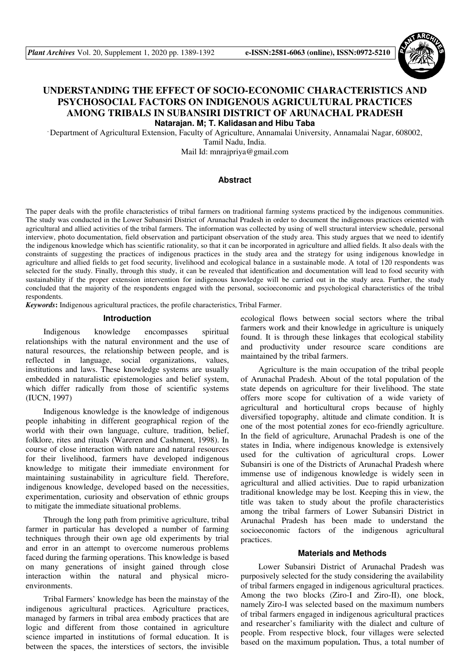

# **UNDERSTANDING THE EFFECT OF SOCIO-ECONOMIC CHARACTERISTICS AND PSYCHOSOCIAL FACTORS ON INDIGENOUS AGRICULTURAL PRACTICES AMONG TRIBALS IN SUBANSIRI DISTRICT OF ARUNACHAL PRADESH Natarajan. M; T. Kalidasan and Hibu Taba**

, Department of Agricultural Extension, Faculty of Agriculture, Annamalai University, Annamalai Nagar, 608002, Tamil Nadu, India.

Mail Id: mnrajpriya@gmail.com

# **Abstract**

The paper deals with the profile characteristics of tribal farmers on traditional farming systems practiced by the indigenous communities. The study was conducted in the Lower Subansiri District of Arunachal Pradesh in order to document the indigenous practices oriented with agricultural and allied activities of the tribal farmers. The information was collected by using of well structural interview schedule, personal interview, photo documentation, field observation and participant observation of the study area. This study argues that we need to identify the indigenous knowledge which has scientific rationality, so that it can be incorporated in agriculture and allied fields. It also deals with the constraints of suggesting the practices of indigenous practices in the study area and the strategy for using indigenous knowledge in agriculture and allied fields to get food security, livelihood and ecological balance in a sustainable mode. A total of 120 respondents was selected for the study. Finally, through this study, it can be revealed that identification and documentation will lead to food security with sustainability if the proper extension intervention for indigenous knowledge will be carried out in the study area. Further, the study concluded that the majority of the respondents engaged with the personal, socioeconomic and psychological characteristics of the tribal respondents.

*Keywords***:** Indigenous agricultural practices, the profile characteristics, Tribal Farmer.

#### **Introduction**

Indigenous knowledge encompasses spiritual relationships with the natural environment and the use of natural resources, the relationship between people, and is reflected in language, social organizations, values, institutions and laws. These knowledge systems are usually embedded in naturalistic epistemologies and belief system, which differ radically from those of scientific systems (IUCN, 1997)

Indigenous knowledge is the knowledge of indigenous people inhabiting in different geographical region of the world with their own language, culture, tradition, belief, folklore, rites and rituals (Wareren and Cashment, 1998). In course of close interaction with nature and natural resources for their livelihood, farmers have developed indigenous knowledge to mitigate their immediate environment for maintaining sustainability in agriculture field. Therefore, indigenous knowledge, developed based on the necessities, experimentation, curiosity and observation of ethnic groups to mitigate the immediate situational problems.

Through the long path from primitive agriculture, tribal farmer in particular has developed a number of farming techniques through their own age old experiments by trial and error in an attempt to overcome numerous problems faced during the farming operations. This knowledge is based on many generations of insight gained through close interaction within the natural and physical microenvironments.

Tribal Farmers' knowledge has been the mainstay of the indigenous agricultural practices. Agriculture practices, managed by farmers in tribal area embody practices that are logic and different from those contained in agriculture science imparted in institutions of formal education. It is between the spaces, the interstices of sectors, the invisible

ecological flows between social sectors where the tribal farmers work and their knowledge in agriculture is uniquely found. It is through these linkages that ecological stability and productivity under resource scare conditions are maintained by the tribal farmers.

Agriculture is the main occupation of the tribal people of Arunachal Pradesh. About of the total population of the state depends on agriculture for their livelihood. The state offers more scope for cultivation of a wide variety of agricultural and horticultural crops because of highly diversified topography, altitude and climate condition. It is one of the most potential zones for eco-friendly agriculture. In the field of agriculture, Arunachal Pradesh is one of the states in India, where indigenous knowledge is extensively used for the cultivation of agricultural crops. Lower Subansiri is one of the Districts of Arunachal Pradesh where immense use of indigenous knowledge is widely seen in agricultural and allied activities. Due to rapid urbanization traditional knowledge may be lost. Keeping this in view, the title was taken to study about the profile characteristics among the tribal farmers of Lower Subansiri District in Arunachal Pradesh has been made to understand the socioeconomic factors of the indigenous agricultural practices.

#### **Materials and Methods**

Lower Subansiri District of Arunachal Pradesh was purposively selected for the study considering the availability of tribal farmers engaged in indigenous agricultural practices. Among the two blocks (Ziro-I and Ziro-II), one block, namely Ziro-I was selected based on the maximum numbers of tribal farmers engaged in indigenous agricultural practices and researcher's familiarity with the dialect and culture of people. From respective block, four villages were selected based on the maximum population**.** Thus, a total number of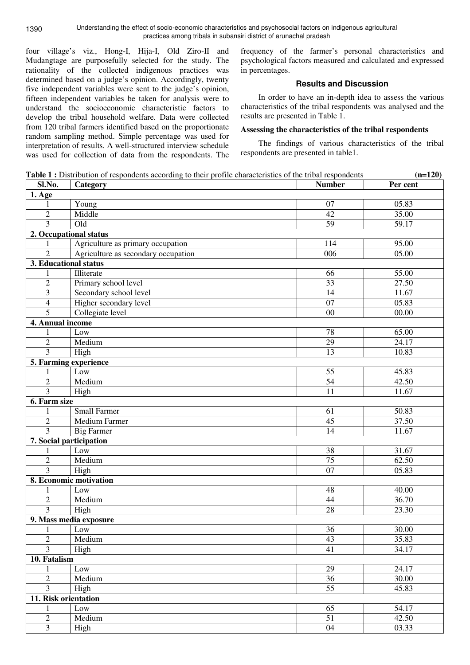**11. Risk orientation** 

four village's viz., Hong-I, Hija-I, Old Ziro-II and Mudangtage are purposefully selected for the study. The rationality of the collected indigenous practices was determined based on a judge's opinion. Accordingly, twenty five independent variables were sent to the judge's opinion, fifteen independent variables be taken for analysis were to understand the socioeconomic characteristic factors to develop the tribal household welfare. Data were collected from 120 tribal farmers identified based on the proportionate random sampling method. Simple percentage was used for interpretation of results. A well-structured interview schedule was used for collection of data from the respondents. The frequency of the farmer's personal characteristics and psychological factors measured and calculated and expressed in percentages.

# **Results and Discussion**

In order to have an in-depth idea to assess the various characteristics of the tribal respondents was analysed and the results are presented in Table 1.

### **Assessing the characteristics of the tribal respondents**

The findings of various characteristics of the tribal respondents are presented in table1.

**Table 1 :** Distribution of respondents according to their profile characteristics of the tribal respondents **(n=120)** Sl.No. Category **Number Per cent Per cent Per cent Per cent Per cent 1. Age**  1 Young 07 05.83 2 | Middle 35.00 3 | Old 59 | 59.17 **2. Occupational status**  1 Agriculture as primary occupation 114 95.00 2 Agriculture as secondary occupation 1 006 05.00 **3. Educational status**  1 Illiterate 55.00 2 Primary school level 33 27.50 3 Secondary school level 14 11.67 4 Higher secondary level 07 05.83 5 Collegiate level 00 00.00 **4. Annual income**  1 Low 65.00 2 Medium 29 24.17 3 High 10.83 **5. Farming experience**  1 Low 55 45.83 2 Medium 34 42.50 3 High 11.67 **6. Farm size**  1 Small Farmer 61 50.83 2 Medium Farmer 45 37.50<br>3 Big Farmer 14 11.67 3 Big Farmer 11.67 **7. Social participation**  1 Low 38 31.67 2 Medium 26.50 3 High 07 05.83 **8. Economic motivation**  1 Low 48 40.00 2 Medium 36.70 3 High 28 23.30 **9. Mass media exposure**  1 Low 30.00 2 Medium 135.83 3 High 41 34.17 **10. Fatalism** 1 Low 24.17 2 Medium 36 30.00 3 High 55 45.83

1 Low 54.17 2 Medium 31 51 42.50 3 High 04 03.33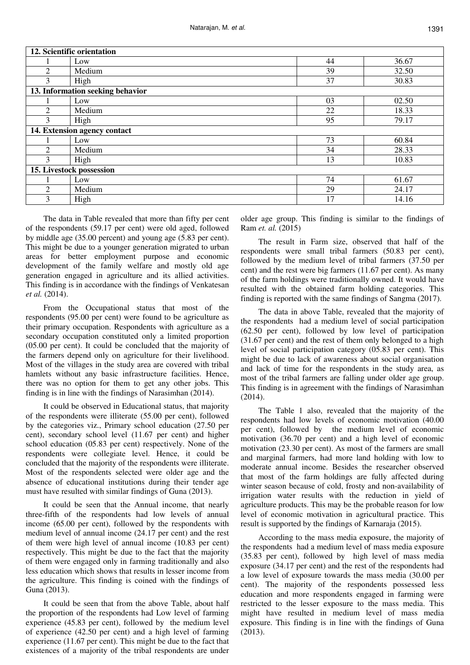| 12. Scientific orientation       |        |    |       |
|----------------------------------|--------|----|-------|
|                                  | Low    | 44 | 36.67 |
| $\mathfrak{D}$                   | Medium | 39 | 32.50 |
| 3                                | High   | 37 | 30.83 |
| 13. Information seeking behavior |        |    |       |
|                                  | Low    | 03 | 02.50 |
| 2                                | Medium | 22 | 18.33 |
| 3                                | High   | 95 | 79.17 |
| 14. Extension agency contact     |        |    |       |
|                                  | Low    | 73 | 60.84 |
| $\mathfrak{D}$                   | Medium | 34 | 28.33 |
| 3                                | High   | 13 | 10.83 |
| 15. Livestock possession         |        |    |       |
|                                  | Low    | 74 | 61.67 |
| 2                                | Medium | 29 | 24.17 |
| 3                                | High   | 17 | 14.16 |

The data in Table revealed that more than fifty per cent of the respondents (59.17 per cent) were old aged, followed by middle age (35.00 percent) and young age (5.83 per cent). This might be due to a younger generation migrated to urban areas for better employment purpose and economic development of the family welfare and mostly old age generation engaged in agriculture and its allied activities. This finding is in accordance with the findings of Venkatesan *et al.* (2014).

From the Occupational status that most of the respondents (95.00 per cent) were found to be agriculture as their primary occupation. Respondents with agriculture as a secondary occupation constituted only a limited proportion (05.00 per cent). It could be concluded that the majority of the farmers depend only on agriculture for their livelihood. Most of the villages in the study area are covered with tribal hamlets without any basic infrastructure facilities. Hence, there was no option for them to get any other jobs. This finding is in line with the findings of Narasimhan (2014).

It could be observed in Educational status, that majority of the respondents were illiterate (55.00 per cent), followed by the categories viz., Primary school education (27.50 per cent), secondary school level (11.67 per cent) and higher school education (05.83 per cent) respectively. None of the respondents were collegiate level. Hence, it could be concluded that the majority of the respondents were illiterate. Most of the respondents selected were older age and the absence of educational institutions during their tender age must have resulted with similar findings of Guna (2013).

It could be seen that the Annual income, that nearly three-fifth of the respondents had low levels of annual income (65.00 per cent), followed by the respondents with medium level of annual income (24.17 per cent) and the rest of them were high level of annual income (10.83 per cent) respectively. This might be due to the fact that the majority of them were engaged only in farming traditionally and also less education which shows that results in lesser income from the agriculture. This finding is coined with the findings of Guna (2013).

It could be seen that from the above Table, about half the proportion of the respondents had Low level of farming experience (45.83 per cent), followed by the medium level of experience (42.50 per cent) and a high level of farming experience (11.67 per cent). This might be due to the fact that existences of a majority of the tribal respondents are under older age group. This finding is similar to the findings of Ram *et. al.* (2015)

The result in Farm size, observed that half of the respondents were small tribal farmers (50.83 per cent), followed by the medium level of tribal farmers (37.50 per cent) and the rest were big farmers (11.67 per cent). As many of the farm holdings were traditionally owned. It would have resulted with the obtained farm holding categories. This finding is reported with the same findings of Sangma (2017).

The data in above Table, revealed that the majority of the respondents had a medium level of social participation (62.50 per cent), followed by low level of participation (31.67 per cent) and the rest of them only belonged to a high level of social participation category (05.83 per cent). This might be due to lack of awareness about social organisation and lack of time for the respondents in the study area, as most of the tribal farmers are falling under older age group. This finding is in agreement with the findings of Narasimhan (2014).

The Table 1 also, revealed that the majority of the respondents had low levels of economic motivation (40.00 per cent), followed by the medium level of economic motivation (36.70 per cent) and a high level of economic motivation (23.30 per cent). As most of the farmers are small and marginal farmers, had more land holding with low to moderate annual income. Besides the researcher observed that most of the farm holdings are fully affected during winter season because of cold, frosty and non-availability of irrigation water results with the reduction in yield of agriculture products. This may be the probable reason for low level of economic motivation in agricultural practice. This result is supported by the findings of Karnaraja (2015).

According to the mass media exposure, the majority of the respondents had a medium level of mass media exposure (35.83 per cent), followed by high level of mass media exposure (34.17 per cent) and the rest of the respondents had a low level of exposure towards the mass media (30.00 per cent). The majority of the respondents possessed less education and more respondents engaged in farming were restricted to the lesser exposure to the mass media. This might have resulted in medium level of mass media exposure. This finding is in line with the findings of Guna (2013).